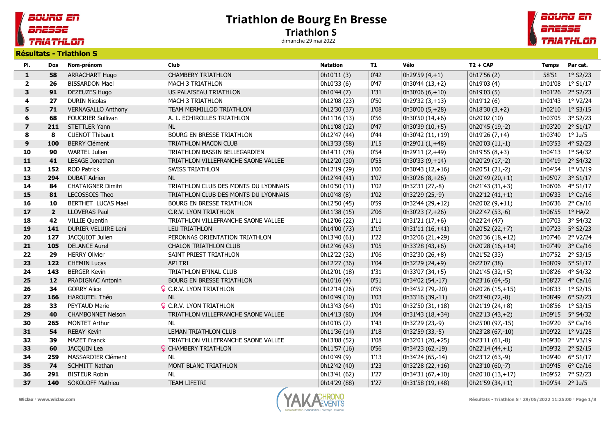## BOURG EN BRESSE **TRIATHLON**

## Triathlon de Bourg En Bresse Triathlon S

dimanche 29 mai 2022



Résultats - Triathlon S

| PI.            | Dos            | Nom-prénom                | <b>Club</b>                          | <b>Natation</b> | T1     | Vélo               | $T2 + CAP$          | <b>Temps</b>    | Par cat.          |
|----------------|----------------|---------------------------|--------------------------------------|-----------------|--------|--------------------|---------------------|-----------------|-------------------|
| $\mathbf{1}$   | 58             | ARRACHART Hugo            | <b>CHAMBERY TRIATHLON</b>            | 0h10'11 (3)     | 0'42   | $0h29'59(4,+1)$    | 0h17'56 (2)         | 58'51           | $1°$ S2/23        |
| $\overline{2}$ | 26             | <b>BISSARDON Mael</b>     | MACH 3 TRIATHLON                     | 0h10'33 (6)     | 0'47   | $0h30'44(13,+2)$   | 0h19'03 (4)         |                 | 1h01'08 1° S1/17  |
| 3              | 91             | DEZEUZES Hugo             | US PALAISEAU TRIATHLON               | 0h10'44 (7)     | 1'31   | $0h30'06(6,+10)$   | 0h19'03 (5)         |                 | 1h01'26 2° S2/23  |
| 4              | 27             | <b>DURIN Nicolas</b>      | MACH 3 TRIATHLON                     | 0h12'08 (23)    | 0'50   | $0h29'32(3,+13)$   | 0h19'12 (6)         |                 | 1h01'43 1° V2/24  |
| 5              | 71             | <b>VERNAGALLO Anthony</b> | TEAM MERMILLOD TRIATHLON             | 0h12'30 (37)    | 1'08   | $0h30'00(5,+28)$   | $0h18'30(3,+2)$     |                 | 1h02'10 1° S3/15  |
| 6              | 68             | <b>FOUCRIER Sullivan</b>  | A. L. ECHIROLLES TRIATHLON           | 0h11'16 (13)    | 0'56   | 0h30'50 $(14, +6)$ | 0h20'02 (10)        |                 | 1h03'05 3° S2/23  |
| $\overline{7}$ | 211            | STETTLER Yann             | NL                                   | 0h11'08 (12)    | 0'47   | $0h30'39(10,+5)$   | 0h20'45 (19,-2)     | 1h03'20         | $2^{\circ}$ S1/17 |
| 8              | 8              | <b>CUENOT Thibault</b>    | BOURG EN BRESSE TRIATHLON            | 0h12'47 (44)    | 0'44   | 0h30'42 (11,+19)   | $0h19'26(7,+4)$     | 1h03'40 1° Ju/5 |                   |
| 9              | 100            | <b>BERRY Clément</b>      | TRIATHLON MACON CLUB                 | 0h13'33 (58)    | 1'15   | 0h29'01 $(1, +48)$ | 0h20'03 (11,-1)     |                 | 1h03'53 4° S2/23  |
| 10             | 90             | <b>WARTEL Julien</b>      | TRIATHLON BASSIN BELLEGARDIEN        | 0h14'11 (78)    | 0'54   | 0h29'11 (2,+49)    | $0h19'55(8,+3)$     |                 | 1h04'13 1° S4/32  |
| $11$           | 41             | LESAGE Jonathan           | TRIATHLON VILLEFRANCHE SAONE VALLEE  | 0h12'20 (30)    | 0'55   | $0h30'33(9,+14)$   | 0h20'29 (17,-2)     |                 | 1h04'19 2° S4/32  |
| 12             | 152            | <b>ROD Patrick</b>        | <b>SWISS TRIATHLON</b>               | 0h12'19 (29)    | 1'00   | $0h30'43(12,+16)$  | 0h20'51 (21,-2)     |                 | 1h04'54 1° V3/19  |
| 13             | 294            | <b>DUBAT Adrien</b>       | <b>NL</b>                            | 0h12'44 (41)    | 1'07   | $0h30'26(8,+26)$   | 0h20'49 (20,+1)     |                 | 1h05'07 3° S1/17  |
| 14             | 84             | <b>CHATAIGNER Dimitri</b> | TRIATHLON CLUB DES MONTS DU LYONNAIS | 0h10'50 (11)    | 1'02   | 0h32'31 (27,-8)    | 0h21'43 (31,+3)     |                 | 1h06'06 4° S1/17  |
| 15             | 81             | LECOSSOIS Theo            | TRIATHLON CLUB DES MONTS DU LYONNAIS | 0h10'48 (8)     | 1'02   | 0h32'29 (25,-9)    | $0h22'12(41,+1)$    |                 | 1h06'33 1° Ca/16  |
| 16             | 10             | BERTHET LUCAS Mael        | BOURG EN BRESSE TRIATHLON            | 0h12'50 (45)    | 0'59   | 0h32'44 (29,+12)   | $0h20'02(9,+11)$    |                 | 1h06'36 2° Ca/16  |
| 17             | $\overline{2}$ | <b>LLOVERAS Paul</b>      | C.R.V. LYON TRIATHLON                | 0h11'38 (15)    | 2'06   | $0h30'23(7,+26)$   | 0h22'47 (53,-6)     |                 | 1h06'55 1° HA/2   |
| 18             | 42             | <b>VILLIE Quentin</b>     | TRIATHLON VILLEFRANCHE SAONE VALLEE  | 0h12'06 (22)    | 1'11   | $0h31'21(17,+6)$   | 0h22'24 (47)        |                 | 1h07'03 3° S4/32  |
| 19             | 141            | DURIER VELUIRE Leni       | <b>LEU TRIATHLON</b>                 | 0h14'00 (73)    | $1'19$ | $0h31'11(16,+41)$  | 0h20'52 (22,+7)     |                 | 1h07'23 5° S2/23  |
| 20             | 127            | JACQUIOT Julien           | PERONNAS ORIENTATION TRIATHLON       | 0h13'40 (61)    | $1'22$ | 0h32'06 (21,+29)   | 0h20'36 (18,+12)    |                 | 1h07'46 2° V2/24  |
| 21             | 105            | <b>DELANCE Aurel</b>      | <b>CHALON TRIATHLON CLUB</b>         | 0h12'46 (43)    | 1'05   | $0h33'28(43, +6)$  | 0h20'28 $(16, +14)$ |                 | 1h07'49 3° Ca/16  |
| 22             | 29             | <b>HERRY Olivier</b>      | SAINT PRIEST TRIATHLON               | 0h12'22 (32)    | 1'06   | $0h32'30(26,+8)$   | 0h21'52 (33)        |                 | 1h07'52 2° S3/15  |
| 23             | 122            | <b>CHEMIN Lucas</b>       | API TRI                              | 0h12'27 (36)    | 1'04   | 0h32'29 (24,+9)    | 0h22'07 (38)        |                 | 1h08'09 5° S1/17  |
| 24             | 143            | <b>BERGER Kevin</b>       | <b>TRIATHLON EPINAL CLUB</b>         | 0h12'01 (18)    | 1'31   | $0h33'07(34,+5)$   | 0h21'45 (32,+5)     |                 | 1h08'26 4° S4/32  |
| 25             | 12             | PRADIGNAC Antonin         | BOURG EN BRESSE TRIATHLON            | 0h10'16(4)      | 0'51   | 0h34'02 (54,-17)   | 0h23'16 (64,-5)     |                 | 1h08'27  4° Ca/16 |
| 26             | 34             | <b>GORRY Alice</b>        | <b>Q</b> C.R.V. LYON TRIATHLON       | 0h12'14 (26)    | 0'59   | 0h34'52 (79,-20)   | 0h20'26 (15,+15)    |                 | 1h08'33 1° S2/15  |
| 27             | 166            | HAROUTEL Théo             | <b>NL</b>                            | 0h10'49 (10)    | 1'03   | 0h33'16 (39,-11)   | 0h23'40 (72,-8)     | 1h08'49         | $6^{\circ}$ S2/23 |
| 28             | 33             | PEYTAUD Marie             | <b>Q</b> C.R.V. LYON TRIATHLON       | 0h13'43 (64)    | 1'01   | 0h32'50 (31,+18)   | 0h21'19 (24,+8)     |                 | 1h08'56 1° S3/15  |
| 29             | 40             | <b>CHAMBONNET Nelson</b>  | TRIATHLON VILLEFRANCHE SAONE VALLEE  | 0h14'13 (80)    | 1'04   | 0h31'43 (18,+34)   | $0h22'13(43,+2)$    |                 | 1h09'15 5° S4/32  |
| 30             | 265            | <b>MONTET Arthur</b>      | <b>NL</b>                            | 0h10'05 (2)     | 1'43   | 0h32'29 (23,-9)    | 0h25'00 (97,-15)    |                 | 1h09'20 5° Ca/16  |
| 31             | 54             | <b>REBAY Kevin</b>        | <b>LEMAN TRIATHLON CLUB</b>          | 0h11'36 (14)    | 1'18   | 0h32'59 (33,-5)    | 0h23'28 (67,-10)    |                 | 1h09'22 1° V1/25  |
| 32             | 39             | <b>MAZET Franck</b>       | TRIATHLON VILLEFRANCHE SAONE VALLEE  | 0h13'08 (52)    | $1'08$ | 0h32'01 (20,+25)   | 0h23'11 (61,-8)     |                 | 1h09'30 2° V3/19  |
| 33             | 60             | JACQUIN Lea               | <b>Q</b> CHAMBERY TRIATHLON          | 0h11'57 (16)    | 0'56   | 0h34'23 (62,-19)   | $0h22'14(44,+1)$    |                 | 1h09'32 2° S2/15  |
| 34             | 259            | MASSARDIER Clément        | <b>NL</b>                            | 0h10'49 (9)     | 1'13   | 0h34'24 (65,-14)   | 0h23'12 (63,-9)     | 1h09'40         | $6^{\circ}$ S1/17 |
| 35             | 74             | <b>SCHMITT Nathan</b>     | MONT BLANC TRIATHLON                 | 0h12'42 (40)    | 1'23   | 0h32'28 (22,+16)   | 0h23'10 (60,-7)     | 1h09'45         | $6^{\circ}$ Ca/16 |
| 36             | 291            | <b>BISTEUR Robin</b>      | <b>NL</b>                            | 0h13'41 (62)    | 1'27   | $0h34'31(67,+10)$  | 0h20'10 (13,+17)    | 1h09'52         | 7° S2/23          |
| 37             | 140            | SOKOLOFF Mathieu          | <b>TEAM LIFETRI</b>                  | 0h14'29 (88)    | $1'27$ | 0h31'58 (19,+48)   | $0h21'59(34,+1)$    | 1h09'54 2° Ju/5 |                   |





Wiclax · www.wiclax.com example and the set of the set of the set of  $\mathbb{Z}^1$   $\mathbb{Z}^1$   $\mathbb{Z}^1$   $\mathbb{Z}^1$   $\mathbb{Z}^1$   $\mathbb{Z}^1$   $\mathbb{Z}^1$   $\mathbb{Z}^1$   $\mathbb{Z}^1$   $\mathbb{Z}^1$   $\mathbb{Z}^1$   $\mathbb{Z}^1$   $\mathbb{Z}^1$   $\mathbb{Z}^1$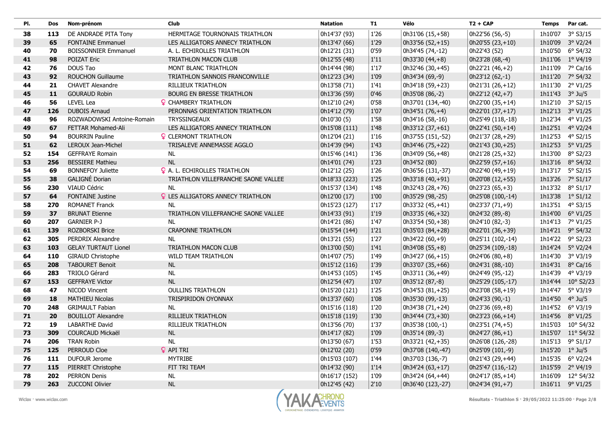| PI. | <b>Dos</b> | Nom-prénom                  | Club                                     | <b>Natation</b> | <b>T1</b> | Vélo              | $T2 + CAP$        | <b>Temps</b>    | Par cat.           |
|-----|------------|-----------------------------|------------------------------------------|-----------------|-----------|-------------------|-------------------|-----------------|--------------------|
| 38  | 113        | DE ANDRADE PITA Tony        | HERMITAGE TOURNONAIS TRIATHLON           | 0h14'37 (93)    | 1'26      | 0h31'06 (15,+58)  | 0h22'56 (56,-5)   | 1h10'07         | $3°$ S3/15         |
| 39  | 65         | <b>FONTAINE Emmanuel</b>    | LES ALLIGATORS ANNECY TRIATHLON          | 0h13'47 (66)    | 1'29      | $0h33'56(52,+15)$ | 0h20'55 (23,+10)  |                 | 1h10'09 3° V2/24   |
| 40  | 70         | <b>BOISSONNIER Emmanuel</b> | A. L. ECHIROLLES TRIATHLON               | 0h12'21 (31)    | 0'59      | 0h34'45 (74,-12)  | 0h22'43 (52)      | 1h10'50         | $6^{\circ}$ S4/32  |
| 41  | 98         | POIZAT Eric                 | <b>TRIATHLON MACON CLUB</b>              | 0h12'55 (48)    | 1'11      | $0h33'30(44,+8)$  | 0h23'28 (68,-4)   |                 | 1h11'06 1° V4/19   |
| 42  | 76         | DOUS Tao                    | MONT BLANC TRIATHLON                     | 0h14'44 (98)    | 1'17      | 0h32'46 (30,+45)  | 0h22'21 (46,+2)   |                 | 1h11'09 7° Ca/16   |
| 43  | 92         | <b>ROUCHON Guillaume</b>    | TRIATHLON SANNOIS FRANCONVILLE           | 0h12'23 (34)    | 1'09      | 0h34'34 (69,-9)   | 0h23'12 (62,-1)   |                 | 1h11'20 7° S4/32   |
| 44  | 21         | <b>CHAVET Alexandre</b>     | <b>RILLIEUX TRIATHLON</b>                | 0h13'58 (71)    | 1'41      | 0h34'18 (59,+23)  | 0h21'31 (26,+12)  | 1h11'30         | 2° V1/25           |
| 45  | 11         | <b>GOURAUD Robin</b>        | <b>BOURG EN BRESSE TRIATHLON</b>         | 0h13'36 (59)    | 0'46      | 0h35'08 (86,-2)   | 0h22'12 (42,+7)   | 1h11'43 3° Ju/5 |                    |
| 46  | 56         | <b>LEVEL Lea</b>            | <b>Q</b> CHAMBERY TRIATHLON              | 0h12'10 (24)    | 0'58      | 0h37'01 (134,-40) | 0h22'00 (35,+14)  |                 | 1h12'10 3° S2/15   |
| 47  | 126        | <b>DUBOIS Arnaud</b>        | PERONNAS ORIENTATION TRIATHLON           | 0h14'12 (79)    | 1'07      | 0h34'51 (76,+4)   | 0h22'01 (37,+17)  | 1h12'13         | 3° V1/25           |
| 48  | 96         | ROZWADOWSKI Antoine-Romain  | <b>TRYSSINGEAUX</b>                      | 0h10'30 (5)     | 1'58      | 0h34'16 (58,-16)  | 0h25'49 (118,-18) | 1h12'34         | 4° V1/25           |
| 49  | 67         | FETTAR Mohamed-Ali          | LES ALLIGATORS ANNECY TRIATHLON          | 0h15'08 (111)   | 1'48      | 0h33'12 (37, +61) | 0h22'41 (50,+14)  | 1h12'51         | 4° V2/24           |
| 50  | 94         | <b>BOURRIN Pauline</b>      | <b>Q</b> CLERMONT TRIATHLON              | 0h12'04 (21)    | $1'16$    | 0h37'55 (151,-52) | 0h21'37 (28,+29)  |                 | 1h12'53 4° S2/15   |
| 51  | 62         | LEROUX Jean-Michel          | TRISALEVE ANNEMASSE AGGLO                | 0h14'39 (94)    | 1'43      | 0h34'46 (75, +22) | 0h21'43 (30,+25)  | 1h12'53         | 5° V1/25           |
| 52  | 154        | <b>GEFFRAYE Romain</b>      | NL                                       | 0h15'46 (141)   | 1'36      | 0h34'09 (56,+48)  | 0h21'28 (25,+32)  |                 | 1h13'00 8° S2/23   |
| 53  | 256        | <b>BESSIERE Mathieu</b>     | <b>NL</b>                                | 0h14'01 (74)    | 1'23      | 0h34'52 (80)      | 0h22'59 (57,+16)  |                 | 1h13'16 8° S4/32   |
| 54  | 69         | <b>BONNEFOY Juliette</b>    | <b>Q</b> A. L. ECHIROLLES TRIATHLON      | 0h12'12 (25)    | 1'26      | 0h36'56 (131,-37) | 0h22'40 (49,+19)  |                 | 1h13'17 5° S2/15   |
| 55  | 38         | GALIGNÉ Dorian              | TRIATHLON VILLEFRANCHE SAONE VALLEE      | 0h18'33 (223)   | 1'25      | 0h33'18 (40,+91)  | 0h20'08 (12,+55)  |                 | 1h13'26 7° S1/17   |
| 56  | 230        | VIAUD Cédric                | <b>NL</b>                                | 0h15'37 (134)   | 1'48      | 0h32'43 (28,+76)  | $0h23'23(65,+3)$  |                 | 1h13'32 8° S1/17   |
| 57  | 64         | <b>FONTAINE Justine</b>     | <b>Q</b> LES ALLIGATORS ANNECY TRIATHLON | 0h12'00 (17)    | 1'00      | 0h35'29 (98,-25)  | 0h25'08 (100,-14) |                 | 1h13'38 1° S1/12   |
| 58  | 270        | <b>ROMANET Franck</b>       | <b>NL</b>                                | 0h15'23 (127)   | 1'17      | 0h33'32 (45,+41)  | $0h23'37(71,+9)$  |                 | 1h13'51 4° S3/15   |
| 59  | 37         | <b>BRUNAT Etienne</b>       | TRIATHLON VILLEFRANCHE SAONE VALLEE      | 0h14'33 (91)    | 1'19      | 0h33'35 (46,+32)  | 0h24'32 (89,-8)   |                 | 1h14'00 6° V1/25   |
| 60  | 207        | <b>GARNIER P-J</b>          | <b>NL</b>                                | 0h14'21 (86)    | 1'47      | 0h33'54 (50,+38)  | 0h24'10 (82,-3)   |                 | 1h14'13 7° V1/25   |
| 61  | 139        | <b>ROZBORSKI Brice</b>      | <b>CRAPONNE TRIATHLON</b>                | 0h15'54 (144)   | 1'21      | 0h35'03 (84,+28)  | 0h22'01 (36,+39)  |                 | 1h14'21 9° S4/32   |
| 62  | 305        | PERDRIX Alexandre           | <b>NL</b>                                | 0h13'21 (55)    | 1'27      | 0h34'22 (60,+9)   | 0h25'11 (102,-14) |                 | 1h14'22 9° S2/23   |
| 63  | 103        | <b>GELAY TURTAUT Lionel</b> | <b>TRIATHLON MACON CLUB</b>              | 0h13'00 (50)    | 1'41      | 0h34'08 (55,+8)   | 0h25'34 (109,-18) |                 | 1h14'24 5° V2/24   |
| 64  | 110        | <b>GIRAUD Christophe</b>    | WILD TEAM TRIATHLON                      | 0h14'07 (75)    | 1'49      | 0h34'27 (66,+15)  | $0h24'06(80,+8)$  |                 | 1h14'30 3° V3/19   |
| 65  | 208        | <b>TABOURET Benoit</b>      | $\sf NL$                                 | 0h15'12 (116)   | 1'39      | 0h33'07 (35,+66)  | 0h24'31 (88,-10)  |                 | 1h14'31 8° Ca/16   |
| 66  | 283        | TRIOLO Gérard               | <b>NL</b>                                | 0h14'53 (105)   | 1'45      | 0h33'11 (36,+49)  | 0h24'49 (95,-12)  |                 | 1h14'39 4° V3/19   |
| 67  | 153        | <b>GEFFRAYE Victor</b>      | <b>NL</b>                                | 0h12'54 (47)    | 1'07      | 0h35'12 (87,-8)   | 0h25'29 (105,-17) | 1h14'44         | $10^{\circ}$ S2/23 |
| 68  | 47         | <b>NICOD Vincent</b>        | <b>OULLINS TRIATHLON</b>                 | 0h15'20 (121)   | 1'25      | 0h34'53 (81,+25)  | 0h23'08 (58,+19)  | 1h14'47         | 5° V3/19           |
| 69  | 18         | <b>MATHIEU Nicolas</b>      | TRISPIRIDON OYONNAX                      | 0h13'37 (60)    | 1'08      | 0h35'30 (99,-13)  | 0h24'33 (90,-1)   | 1h14'50 4° Ju/5 |                    |
| 70  | 248        | <b>GRIMAULT Fabian</b>      | <b>NL</b>                                | 0h15'16 (118)   | 1'20      | 0h34'38 (71,+24)  | 0h23'36 (69,+8)   | 1h14'52         | 6° V3/19           |
| 71  | 20         | <b>BOUILLOT Alexandre</b>   | RILLIEUX TRIATHLON                       | 0h15'18 (119)   | 1'30      | 0h34'44 (73,+30)  | 0h23'23 (66,+14)  | 1h14'56         | $8^{\circ}$ V1/25  |
| 72  | 19         | <b>LABARTHE David</b>       | <b>RILLIEUX TRIATHLON</b>                | 0h13'56 (70)    | 1'37      | 0h35'38 (100,-1)  | 0h23'51 (74,+5)   |                 | 1h15'03 10° S4/32  |
| 73  | 309        | <b>COURCAUD Mickaël</b>     | <b>NL</b>                                | 0h14'17 (82)    | 1'09      | 0h35'14 (89,-3)   | $0h24'27(86,+1)$  | 1h15'07         | $11^{\circ}$ S4/32 |
| 74  | 206        | <b>TRAN Robin</b>           | <b>NL</b>                                | 0h13'50 (67)    | 1'53      | 0h33'21 (42,+35)  | 0h26'08 (126,-28) | 1h15'13         | $9°$ S1/17         |
| 75  | 125        | PERROUD Cloe                | <b>Q</b> API TRI                         | 0h12'02 (20)    | 0'59      | 0h37'08 (140,-47) | 0h25'09 (101,-9)  | 1h15'20         | $1^{\circ}$ Ju/5   |
| 76  | 111        | DUFOUR Jerome               | <b>MYTRIBE</b>                           | 0h15'03 (107)   | 1'44      | 0h37'03 (136,-7)  | 0h21'43 (29,+44)  |                 | 1h15'35 6° V2/24   |
| 77  | 115        | PIERRET Christophe          | FIT TRI TEAM                             | 0h14'32 (90)    | 1'14      | 0h34'24 (63,+17)  | 0h25'47 (116,-12) | 1h15'59         | 2° V4/19           |
| 78  | 202        | <b>PERRON Denis</b>         | <b>NL</b>                                | 0h16'17 (152)   | 1'09      | 0h34'24 (64,+44)  | 0h24'17 (85,+14)  |                 | 1h16'09 12° S4/32  |
| 79  | 263        | <b>ZUCCONI Olivier</b>      | <b>NL</b>                                | 0h12'45 (42)    | 2'10      | 0h36'40 (123,-27) | 0h24'34 (91,+7)   |                 | 1h16'11 9° V1/25   |

Г

Г

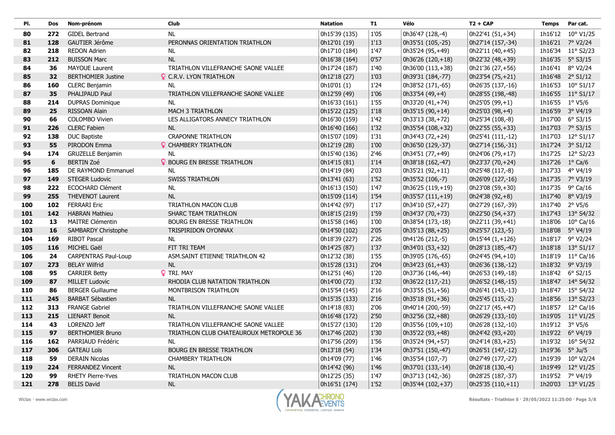| PI. | Dos | Nom-prénom                  | Club                                    | <b>Natation</b> | <b>T1</b> | Vélo               | $T2 + CAP$        | <b>Temps</b>    | Par cat.           |
|-----|-----|-----------------------------|-----------------------------------------|-----------------|-----------|--------------------|-------------------|-----------------|--------------------|
| 80  | 272 | <b>GIDEL Bertrand</b>       | <b>NL</b>                               | 0h15'39 (135)   | 1'05      | 0h36'47 (128,-4)   | 0h22'41 (51,+34)  | 1h16'12         | $10^{\circ}$ V1/25 |
| 81  | 128 | GAUTIER Jérôme              | PERONNAS ORIENTATION TRIATHLON          | 0h12'01 (19)    | 1'13      | 0h35'51 (105,-25)  | 0h27'14 (157,-34) |                 | 1h16'21 7° V2/24   |
| 82  | 218 | <b>REDON Adrien</b>         | NL                                      | 0h17'10 (184)   | 1'47      | 0h35'24 (95,+49)   | 0h22'11 (40,+45)  |                 | 1h16'34 11° S2/23  |
| 83  | 212 | <b>BUISSON Marc</b>         | NL                                      | 0h16'38 (164)   | 0'57      | 0h36'26 (120,+18)  | 0h22'32 (48,+39)  |                 | 1h16'35 5° S3/15   |
| 84  | 36  | <b>MAYOUE Laurent</b>       | TRIATHLON VILLEFRANCHE SAONE VALLEE     | 0h17'24 (187)   | 1'40      | $0h36'00(113,+38)$ | 0h21'36 (27,+56)  |                 | 1h16'41 8° V2/24   |
| 85  | 32  | <b>BERTHOMIER Justine</b>   | <b>Q</b> C.R.V. LYON TRIATHLON          | 0h12'18 (27)    | 1'03      | 0h39'31 (184,-77)  | 0h23'54 (75,+21)  |                 | 1h16'48 2° S1/12   |
| 86  | 160 | <b>CLERC Benjamin</b>       | <b>NL</b>                               | 0h10'01 (1)     | 1'24      | 0h38'52 (171,-65)  | 0h26'35 (137,-16) |                 | 1h16'53 10° S1/17  |
| 87  | 35  | PHALIPAUD Paul              | TRIATHLON VILLEFRANCHE SAONE VALLEE     | 0h12'59 (49)    | 1'06      | 0h33'54 (49,+4)    | 0h28'55 (198,-48) |                 | 1h16'55 11° S1/17  |
| 88  | 214 | <b>DUPRAS Dominique</b>     | <b>NL</b>                               | 0h16'33 (161)   | 1'55      | 0h33'20 (41,+74)   | $0h25'05(99,+1)$  | 1h16'55 1° V5/6 |                    |
| 89  | 25  | <b>RISSOAN Alain</b>        | <b>MACH 3 TRIATHLON</b>                 | 0h15'22 (125)   | 1'18      | 0h35'15 (90,+14)   | 0h25'03 (98,+4)   |                 | 1h16'59 3° V4/19   |
| 90  | 66  | <b>COLOMBO Vivien</b>       | LES ALLIGATORS ANNECY TRIATHLON         | 0h16'30 (159)   | 1'42      | 0h33'13 (38,+72)   | 0h25'34 (108,-8)  | 1h17'00         | $6^{\circ}$ S3/15  |
| 91  | 226 | <b>CLERC Fabien</b>         | <b>NL</b>                               | 0h16'40 (166)   | 1'32      | 0h35'54 (108,+32)  | 0h22'55 (55,+33)  |                 | 1h17'03 7° S3/15   |
| 92  | 138 | <b>DUC Baptiste</b>         | <b>CRAPONNE TRIATHLON</b>               | 0h15'07 (109)   | 1'31      | 0h34'43 (72,+24)   | 0h25'41 (111,-12) |                 | 1h17'03 12° S1/17  |
| 93  | 55  | PIRODON Emma                | <b>Q</b> CHAMBERY TRIATHLON             | 0h12'19 (28)    | 1'00      | 0h36'50 (129,-37)  | 0h27'14 (156,-31) |                 | 1h17'24 3° S1/12   |
| 94  | 174 | <b>GRUZELLE Benjamin</b>    | <b>NL</b>                               | 0h15'40 (136)   | 2'46      | 0h34'51 (77,+49)   | 0h24'06 (79,+17)  |                 | 1h17'25 12° S2/23  |
| 95  | 6   | <b>BERTIN Zoé</b>           | <b>Q</b> BOURG EN BRESSE TRIATHLON      | 0h14'15 (81)    | 1'14      | 0h38'18 (162,-47)  | 0h23'37 (70,+24)  | 1h17'26         | $1^{\circ}$ Ca/6   |
| 96  | 185 | DE RAYMOND Emmanuel         | <b>NL</b>                               | 0h14'19 (84)    | 2'03      | 0h35'21 (92,+11)   | 0h25'48 (117,-8)  |                 | 1h17'33 4° V4/19   |
| 97  | 149 | <b>STEGER Ludovic</b>       | <b>SWISS TRIATHLON</b>                  | 0h13'41 (63)    | 1'52      | 0h35'52 (106,-7)   | 0h26'09 (127,-16) |                 | 1h17'35 7° V3/19   |
| 98  | 222 | <b>ECOCHARD Clément</b>     | <b>NL</b>                               | 0h16'13 (150)   | 1'47      | 0h36'25 (119,+19)  | 0h23'08 (59,+30)  |                 | 1h17'35 9° Ca/16   |
| 99  | 255 | <b>THEVENOT Laurent</b>     | <b>NL</b>                               | 0h15'09 (114)   | 1'54      | 0h35'57 (111,+19)  | 0h24'38 (92,+8)   |                 | 1h17'40 8° V3/19   |
| 100 | 102 | <b>FERRARI Eric</b>         | TRIATHLON MACON CLUB                    | 0h14'42 (97)    | 1'17      | 0h34'10 (57,+27)   | 0h27'29 (167,-39) | 1h17'40 2° V5/6 |                    |
| 101 | 142 | <b>HABRAN Mathieu</b>       | <b>SHARC TEAM TRIATHLON</b>             | 0h18'15 (219)   | 1'59      | 0h34'37 (70,+73)   | 0h22'50 (54,+37)  |                 | 1h17'43 13° S4/32  |
| 102 | 13  | <b>MAITRE Clémentin</b>     | BOURG EN BRESSE TRIATHLON               | 0h15'58 (146)   | 1'00      | 0h38'54 (173,-18)  | 0h22'11 (39,+41)  | 1h18'06         | $10^{\circ}$ Ca/16 |
| 103 | 16  | SAMBARDY Christophe         | TRISPIRIDON OYONNAX                     | 0h14'50 (102)   | 2'05      | 0h35'13 (88,+25)   | 0h25'57 (123,-5)  |                 | 1h18'08 5° V4/19   |
| 104 | 169 | <b>RIBOT Pascal</b>         | <b>NL</b>                               | 0h18'39 (227)   | 2'26      | 0h41'26 (212,-5)   | 0h15'44 (1,+126)  |                 | 1h18'17 9° V2/24   |
| 105 | 116 | MICHEL Gaël                 | FIT TRI TEAM                            | 0h14'25 (87)    | 1'37      | 0h34'01 (53,+32)   | 0h28'13 (185,-47) |                 | 1h18'18 13° S1/17  |
| 106 | 24  | <b>CARPENTRAS Paul-Loup</b> | ASM.SAINT ETIENNE TRIATHLON 42          | 0h12'32 (38)    | 1'55      | 0h39'05 (176,-65)  | 0h24'45 (94,+10)  |                 | 1h18'19 11° Ca/16  |
| 107 | 273 | <b>BELAY Wilfrid</b>        | NL                                      | 0h15'28 (131)   | 2'04      | 0h34'23 (61,+43)   | 0h26'36 (138,-12) |                 | 1h18'32 9° V3/19   |
| 108 | 95  | <b>CARRIER Betty</b>        | P TRI. MAY                              | 0h12'51 (46)    | 1'20      | 0h37'36 (146,-44)  | 0h26'53 (149,-18) |                 | 1h18'42 6° S2/15   |
| 109 | 87  | <b>MILLET Ludovic</b>       | RHODIA CLUB NATATION TRIATHLON          | 0h14'00 (72)    | 1'32      | 0h36'22 (117,-21)  | 0h26'52 (148,-15) |                 | 1h18'47 14° S4/32  |
| 110 | 86  | <b>BERGER Guillaume</b>     | MONTBRISON TRIATHLON                    | 0h15'54 (145)   | 2'16      | 0h33'55 (51,+56)   | 0h26'41 (143,-13) |                 | 1h18'47 15° S4/32  |
| 111 | 245 | <b>BARBAT Sébastien</b>     | NL                                      | 0h15'35 (133)   | $2'16$    | 0h35'18 (91,+36)   | 0h25'45 (115,-2)  |                 | 1h18'56 13° S2/23  |
| 112 | 313 | <b>FRANGE Gabriel</b>       | TRIATHLON VILLEFRANCHE SAONE VALLEE     | 0h14'18 (83)    | 2'06      | 0h40'14 (200,-59)  | 0h22'17 (45,+47)  | 1h18'57         | $12^{\circ}$ Ca/16 |
| 113 | 215 | <b>LIENART Benoit</b>       | <b>NL</b>                               | 0h16'48 (172)   | $2'50$    | 0h32'56 (32,+88)   | 0h26'29 (133,-10) | 1h19'05         | $11^{\circ}$ V1/25 |
| 114 | 43  | LORENZO Jeff                | TRIATHLON VILLEFRANCHE SAONE VALLEE     | 0h15'27 (130)   | 1'20      | 0h35'56 (109,+10)  | 0h26'28 (132,-10) | 1h19'12 3° V5/6 |                    |
| 115 | 97  | <b>BERTHOMIER Bruno</b>     | TRIATHLON CLUB CHATEAUROUX METROPOLE 36 | 0h17'46 (202)   | 1'30      | 0h35'22 (93,+48)   | 0h24'42 (93,+20)  |                 | 1h19'22 6° V4/19   |
| 116 | 162 | PARRIAUD Frédéric           | <b>NL</b>                               | 0h17'56 (209)   | 1'56      | 0h35'24 (94,+57)   | 0h24'14 (83,+25)  |                 | 1h19'32 16° S4/32  |
| 117 | 306 | <b>GATEAU Loïs</b>          | <b>BOURG EN BRESSE TRIATHLON</b>        | 0h13'18 (54)    | 1'34      | 0h37'51 (150,-47)  | 0h26'51 (147,-12) | 1h19'36         | $5^\circ$ Ju/5     |
| 118 | 59  | <b>DERAIN Nicolas</b>       | <b>CHAMBERY TRIATHLON</b>               | 0h14'09 (77)    | 1'46      | 0h35'54 (107,-7)   | 0h27'49 (177,-27) | 1h19'39         | 10° V2/24          |
| 119 | 224 | <b>FERRANDEZ Vincent</b>    | <b>NL</b>                               | 0h14'42 (96)    | 1'46      | 0h37'01 (133,-14)  | 0h26'18 (130,-4)  | 1h19'49         | $12^{\circ}$ V1/25 |
| 120 | 99  | RHETY Pierre-Yves           | TRIATHLON MACON CLUB                    | 0h12'25 (35)    | 1'47      | 0h37'13 (142,-36)  | 0h28'25 (187,-37) |                 | 1h19'52 7° V4/19   |
| 121 | 278 | <b>BELIS David</b>          | <b>NL</b>                               | 0h16'51 (174)   | 1'52      | 0h35'44 (102,+37)  | 0h25'35 (110,+11) |                 | 1h20'03 13° V1/25  |

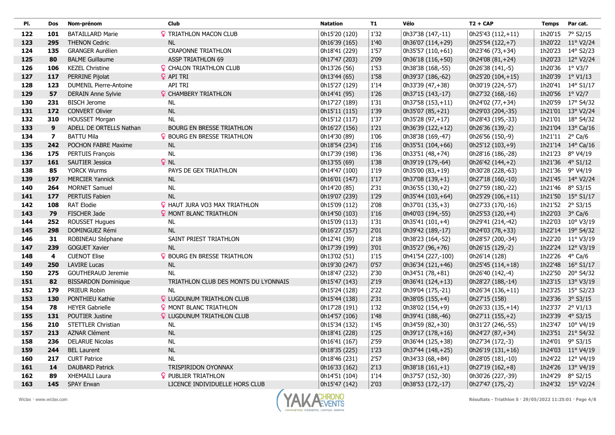| PI. | <b>Dos</b>              | Nom-prénom                    | <b>Club</b>                          | <b>Natation</b> | <b>T1</b> | Vélo                 | $T2 + CAP$        | <b>Temps</b>    | Par cat.           |
|-----|-------------------------|-------------------------------|--------------------------------------|-----------------|-----------|----------------------|-------------------|-----------------|--------------------|
| 122 | 101                     | <b>BATAILLARD Marie</b>       | <b>?</b> TRIATHLON MACON CLUB        | 0h15'20 (120)   | 1'32      | 0h37'38 (147,-11)    | 0h25'43 (112,+11) |                 | 1h20'15 7° S2/15   |
| 123 | 295                     | <b>THENON Cedric</b>          | <b>NL</b>                            | 0h16'39 (165)   | 1'40      | 0h36'07 (114,+29)    | 0h25'54 (122,+7)  |                 | 1h20'22 11° V2/24  |
| 124 | 135                     | <b>GRANGER Aurélien</b>       | <b>CRAPONNE TRIATHLON</b>            | 0h18'41 (229)   | 1'57      | 0h35'57 (110,+61)    | 0h23'46 (73,+34)  |                 | 1h20'23 14° S2/23  |
| 125 | 80                      | <b>BALME Guillaume</b>        | <b>ASSP TRIATHLON 69</b>             | 0h17'47 (203)   | 2'09      | 0h36'18 (116,+50)    | 0h24'08 (81,+24)  |                 | 1h20'23 12° V2/24  |
| 126 | 106                     | <b>KEZEL Christine</b>        | <b>Q</b> CHALON TRIATHLON CLUB       | 0h13'26 (56)    | 1'53      | 0h38'38 (168,-55)    | 0h26'38 (141,-5)  | 1h20'36 1° V3/7 |                    |
| 127 | 117                     | PERRINE Pijolat               | <b>Q</b> API TRI                     | 0h13'44 (65)    | 1'58      | 0h39'37 (186,-62)    | 0h25'20 (104,+15) |                 | 1h20'39 1° V1/13   |
| 128 | 123                     | <b>DUMENIL Pierre-Antoine</b> | API TRI                              | 0h15'27 (129)   | 1'14      | 0h33'39 (47,+38)     | 0h30'19 (224,-57) |                 | 1h20'41 14° S1/17  |
| 129 | 57                      | <b>DERAIN Anne Sylvie</b>     | <b>Q</b> CHAMBERY TRIATHLON          | 0h14'41 (95)    | 1'26      | 0h37'15 (143,-17)    | 0h27'32 (168,-16) | 1h20'56 1° V2/7 |                    |
| 130 | 231                     | <b>BISCH Jerome</b>           | NL                                   | 0h17'27 (189)   | 1'31      | 0h37'58 (153,+11)    | 0h24'02 (77,+34)  |                 | 1h20'59 17° S4/32  |
| 131 | 172                     | <b>CONVERT Olivier</b>        | NL                                   | 0h15'11 (115)   | 1'39      | 0h35'07 (85,+21)     | 0h29'03 (204,-35) |                 | 1h21'01 13° V2/24  |
| 132 | 310                     | <b>HOUSSET Morgan</b>         | <b>NL</b>                            | 0h15'12 (117)   | 1'37      | 0h35'28 (97,+17)     | 0h28'43 (195,-33) | 1h21'01         | 18° S4/32          |
| 133 | 9                       | ADELL DE ORTELLS Nathan       | <b>BOURG EN BRESSE TRIATHLON</b>     | 0h16'27 (156)   | 1'21      | 0h36'39 (122,+12)    | 0h26'36 (139,-2)  | 1h21'04         | $13^{\circ}$ Ca/16 |
| 134 | $\overline{\mathbf{z}}$ | <b>BATTU Mila</b>             | <b>9 BOURG EN BRESSE TRIATHLON</b>   | 0h14'30 (89)    | 1'06      | 0h38'38 (169,-47)    | 0h26'56 (150,-9)  | 1h21'11         | $2^{\circ}$ Ca/6   |
| 135 | 242                     | POCHON FABRE Maxime           | NL                                   | 0h18'54 (234)   | 1'16      | $ 0h35'51(104,+66) $ | 0h25'12 (103,+9)  | 1h21'14         | $14^{\circ}$ Ca/16 |
| 136 | 175                     | PERTUIS François              | <b>NL</b>                            | 0h17'39 (198)   | 1'36      | 0h33'51 (48,+74)     | 0h28'16 (186,-28) | 1h21'23         | 8° V4/19           |
| 137 | 161                     | <b>SAUTIER Jessica</b>        | $Q$ NL                               | 0h13'55 (69)    | 1'38      | 0h39'19 (179,-64)    | 0h26'42 (144,+2)  | 1h21'36         | $4^{\circ}$ S1/12  |
| 138 | 85                      | <b>YORCK Wurms</b>            | PAYS DE GEX TRIATHLON                | 0h14'47 (100)   | 1'19      | 0h35'00 (83,+19)     | 0h30'28 (228,-63) |                 | 1h21'36 9° V4/19   |
| 139 | 197                     | <b>MERCIER Yannick</b>        | <b>NL</b>                            | 0h16'01 (147)   | 1'17      | 0h37'08 (139,+1)     | 0h27'18 (160,-10) |                 | 1h21'45 14° V2/24  |
| 140 | 264                     | <b>MORNET Samuel</b>          | <b>NL</b>                            | 0h14'20 (85)    | 2'31      | 0h36'55 (130,+2)     | 0h27'59 (180,-22) |                 | 1h21'46 8° S3/15   |
| 141 | 177                     | PERTUIS Fabien                | <b>NL</b>                            | 0h19'07 (239)   | 1'29      | 0h35'44 (103,+64)    | 0h25'29 (106,+11) |                 | 1h21'50 15° S1/17  |
| 142 | 108                     | <b>RAT Elodie</b>             | <b>Q</b> HAUT JURA VO3 MAX TRIATHLON | 0h15'09 (112)   | 2'08      | 0h37'01 (135,+3)     | 0h27'33 (170,-16) |                 | 1h21'52 2° S3/15   |
| 143 | 79                      | <b>FISCHER Jade</b>           | <b>9 MONT BLANC TRIATHLON</b>        | 0h14'50 (103)   | 1'16      | 0h40'03 (194,-55)    | 0h25'53 (120,+4)  | 1h22'03         | $3^{\circ}$ Ca/6   |
| 144 | 252                     | <b>ROUSSET Hugues</b>         | NL                                   | 0h15'09 (113)   | 1'31      | 0h35'41 (101,+4)     | 0h29'41 (214,-42) |                 | 1h22'03 10° V3/19  |
| 145 | 298                     | DOMINGUEZ Rémi                | $\sf NL$                             | 0h16'27 (157)   | 2'01      | 0h39'42 (189,-17)    | 0h24'03 (78,+33)  |                 | 1h22'14 19° S4/32  |
| 146 | 31                      | ROBINEAU Stéphane             | SAINT PRIEST TRIATHLON               | 0h12'41 (39)    | 2'18      | 0h38'23 (164,-52)    | 0h28'57 (200,-34) |                 | 1h22'20 11° V3/19  |
| 147 | 239                     | <b>GOGUET Xavier</b>          | <b>NL</b>                            | 0h17'39 (199)   | 3'01      | 0h35'27 (96,+76)     | 0h26'15 (129,-2)  |                 | 1h22'24 12° V3/19  |
| 148 | 4                       | <b>CUENOT Elise</b>           | P BOURG EN BRESSE TRIATHLON          | 0h13'02 (51)    | 1'15      | 0h41'54 (227,-100)   | 0h26'14 (128)     | 1h22'26         | 4° Ca/6            |
| 149 | 250                     | <b>LAVIRE Lucas</b>           | $\sf NL$                             | 0h19'30 (247)   | 0'57      | $ 0h36'34(121,+46) $ | 0h25'45 (114,+18) | 1h22'48         | $16^{\circ}$ S1/17 |
| 150 | 275                     | <b>GOUTHERAUD Jeremie</b>     | <b>NL</b>                            | 0h18'47 (232)   | 2'30      | 0h34'51 (78,+81)     | 0h26'40 (142,-4)  | 1h22'50         | 20° S4/32          |
| 151 | 82                      | <b>BISSARDON Dominique</b>    | TRIATHLON CLUB DES MONTS DU LYONNAIS | 0h15'47 (143)   | 2'19      | $ 0h36'41(124,+13) $ | 0h28'27 (188,-14) |                 | 1h23'15 13° V3/19  |
| 152 | 179                     | PRIEUR Robin                  | <b>NL</b>                            | 0h15'24 (128)   | 2'22      | 0h39'04 (175,-21)    | 0h26'34 (136,+11) |                 | 1h23'25 15° S2/23  |
| 153 | 130                     | PONTHIEU Kathie               | <b>?</b> LUGDUNUM TRIATHLON CLUB     | 0h15'44 (138)   | 2'31      | 0h38'05 (155,+4)     | 0h27'15 (158)     | 1h23'36         | $3^{\circ}$ S3/15  |
| 154 | 78                      | <b>HEYER Gabrielle</b>        | <b>? MONT BLANC TRIATHLON</b>        | 0h17'28 (191)   | 1'32      | 0h38'02 (154,+9)     | 0h26'33 (135,+14) | 1h23'37         | $2^{\circ}$ V1/13  |
| 155 | 131                     | <b>POUTIER Justine</b>        | <b>Q</b> LUGDUNUM TRIATHLON CLUB     | 0h14'57 (106)   | 1'48      | 0h39'41 (188,-46)    | 0h27'11 (155,+2)  | 1h23'39         | $4^{\circ}$ S3/15  |
| 156 | 210                     | <b>STETTLER Christian</b>     | <b>NL</b>                            | 0h15'34 (132)   | 1'45      | 0h34'59 (82,+30)     | 0h31'27 (246,-55) |                 | 1h23'47 10° V4/19  |
| 157 | 213                     | <b>AZNAR Clément</b>          | NL                                   | 0h18'41 (228)   | 1'25      | 0h39'17 (178,+16)    | 0h24'27 (87,+34)  | 1h23'51         | 21° S4/32          |
| 158 | 236                     | <b>DELARUE Nicolas</b>        | <b>NL</b>                            | 0h16'41 (167)   | 2'59      | 0h36'44 (125,+38)    | 0h27'34 (172,-3)  | 1h24'01         | $9°$ S3/15         |
| 159 | 244                     | <b>BEL Laurent</b>            | <b>NL</b>                            | 0h18'35 (225)   | 1'23      | 0h37'44 (148, +25)   | 0h26'19 (131,+16) | 1h24'03         | 11° V4/19          |
| 160 | 217                     | <b>CURT Patrice</b>           | <b>NL</b>                            | 0h18'46 (231)   | 2'57      | 0h34'33 (68,+84)     | 0h28'05 (181,-10) |                 | 1h24'22 12° V4/19  |
| 161 | 14                      | <b>DAUBARD Patrick</b>        | <b>TRISPIRIDON OYONNAX</b>           | 0h16'33 (162)   | 2'13      | 0h38'18 $(161,+1)$   | 0h27'19 (162,+8)  | 1h24'26         | 13° V4/19          |
| 162 | 89                      | XHEMAILI Laura                | <b>?</b> PUBLIER TRIATHLON           | 0h14'51 (104)   | 1'14      | 0h37'57 (152,-30)    | 0h30'26 (227,-39) |                 | 1h24'29 8° S2/15   |
| 163 | 145                     | <b>SPAY Erwan</b>             | LICENCE INDIVIDUELLE HORS CLUB       | 0h15'47 (142)   | 2'03      | 0h38'53 (172,-17)    | 0h27'47 (175,-2)  |                 | 1h24'32 15° V2/24  |

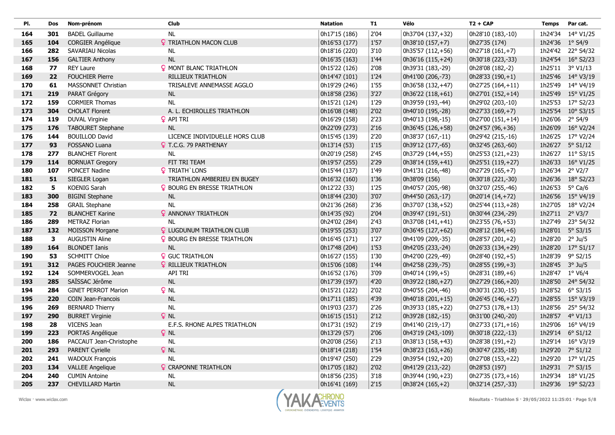| PI. | Dos | Nom-prénom                 | <b>Club</b>                        | <b>Natation</b> | <b>T1</b> | Vélo               | $T2 + CAP$        | <b>Temps</b>    | Par cat.           |
|-----|-----|----------------------------|------------------------------------|-----------------|-----------|--------------------|-------------------|-----------------|--------------------|
| 164 | 301 | <b>BADEL Guillaume</b>     | <b>NL</b>                          | 0h17'15 (186)   | 2'04      | 0h37'04 (137,+32)  | 0h28'10 (183,-10) | 1h24'34         | 14° V1/25          |
| 165 | 104 | <b>CORGIER Angélique</b>   | <b>? TRIATHLON MACON CLUB</b>      | 0h16'53 (177)   | 1'57      | 0h38'10 (157, +7)  | 0h27'35 (174)     | 1h24'36 1° S4/9 |                    |
| 166 | 282 | SAVARIAU Nicolas           | <b>NL</b>                          | 0h18'16 (220)   | $3'10$    | 0h35'57 (112,+56)  | 0h27'18 (161,+7)  | 1h24'42         | 22° S4/32          |
| 167 | 156 | <b>GALTIER Anthony</b>     | <b>NL</b>                          | 0h16'35 (163)   | 1'44      | 0h36'16 (115,+24)  | 0h30'18 (223,-33) | 1h24'54         | $16^{\circ}$ S2/23 |
| 168 | 77  | <b>REY Laure</b>           | <b>?</b> MONT BLANC TRIATHLON      | 0h15'22 (126)   | 2'08      | 0h39'31 (183,-29)  | 0h28'08 (182,-2)  | 1h25'11         | $3^{\circ}$ V1/13  |
| 169 | 22  | <b>FOUCHIER Pierre</b>     | RILLIEUX TRIATHLON                 | 0h14'47 (101)   | 1'24      | 0h41'00 (206,-73)  | $0h28'33(190,+1)$ | 1h25'46         | 14° V3/19          |
| 170 | 61  | <b>MASSONNET Christian</b> | TRISALEVE ANNEMASSE AGGLO          | 0h19'29 (246)   | 1'55      | 0h36'58 (132,+47)  | 0h27'25 (164,+11) | 1h25'49         | 14° V4/19          |
| 171 | 219 | PARAT Grégory              | <b>NL</b>                          | 0h18'58 (236)   | 3'27      | 0h36'22 (118,+61)  | 0h27'01 (152,+14) | 1h25'49         | $15^{\circ}$ V1/25 |
| 172 | 159 | <b>CORMIER Thomas</b>      | <b>NL</b>                          | 0h15'21 (124)   | 1'29      | 0h39'59 (193,-44)  | 0h29'02 (203,-10) |                 | 1h25'53 17° S2/23  |
| 173 | 304 | <b>CHOLAT Florent</b>      | A. L. ECHIROLLES TRIATHLON         | 0h16'08 (148)   | 2'02      | 0h40'10 (195,-28)  | 0h27'33 (169,+7)  | 1h25'54         | $10^{\circ}$ S3/15 |
| 174 | 119 | DUVAL Virginie             | <b>Q</b> API TRI                   | 0h16'29 (158)   | 2'23      | 0h40'13 (198,-15)  | 0h27'00 (151,+14) | 1h26'06         | $2°$ S4/9          |
| 175 | 176 | TABOURET Stephane          | <b>NL</b>                          | 0h22'09 (273)   | 2'16      | 0h36'45 (126,+58)  | 0h24'57 (96,+36)  | 1h26'09         | 16° V2/24          |
| 176 | 144 | <b>BOUILLOD David</b>      | LICENCE INDIVIDUELLE HORS CLUB     | 0h15'45 (139)   | 2'20      | 0h38'37 (167,-11)  | 0h29'42 (215,-16) |                 | 1h26'25 17° V2/24  |
| 177 | 93  | FOSSANO Luana              | <b>Q</b> T.C.G. 79 PARTHENAY       | 0h13'14 (53)    | 1'15      | 0h39'12 (177,-65)  | 0h32'45 (263,-60) | 1h26'27         | $5^{\circ}$ S1/12  |
| 178 | 277 | <b>BLANCHET Florent</b>    | <b>NL</b>                          | 0h20'19 (258)   | 2'45      | 0h37'29 (144,+55)  | 0h25'53 (121,+23) |                 | 1h26'27 11° S3/15  |
| 179 | 114 | <b>BORNUAT Gregory</b>     | FIT TRI TEAM                       | 0h19'57 (255)   | 2'29      | 0h38'14 (159,+41)  | 0h25'51 (119,+27) | 1h26'33         | $16^{\circ}$ V1/25 |
| 180 | 107 | PONCET Nadine              | <b>?</b> TRIATH LONS               | 0h15'44 (137)   | 1'49      | 0h41'31 (216,-48)  | 0h27'29 (165,+7)  | 1h26'34         | $2^{\circ}$ V2/7   |
| 181 | 51  | SIEGLER Logan              | TRIATHLON AMBERIEU EN BUGEY        | 0h16'32 (160)   | 1'36      | 0h38'09 (156)      | 0h30'18 (221,-30) | 1h26'36         | 18° S2/23          |
| 182 | 5   | <b>KOENIG Sarah</b>        | <b>Q</b> BOURG EN BRESSE TRIATHLON | 0h12'22 (33)    | 1'25      | 0h40'57 (205,-98)  | 0h32'07 (255,-46) | 1h26'53         | $5^{\circ}$ Ca/6   |
| 183 | 300 | <b>BIGINI Stephane</b>     | <b>NL</b>                          | 0h18'44 (230)   | 3'07      | 0h44'50 (263,-17)  | 0h20'14 (14,+72)  |                 | 1h26'56 15° V4/19  |
| 184 | 258 | <b>GRAIL Stephane</b>      | <b>NL</b>                          | 0h21'36 (268)   | 2'36      | 0h37'07 (138,+52)  | 0h25'44 (113,+28) | 1h27'05         | 18° V2/24          |
| 185 | 72  | <b>BLANCHET Karine</b>     | <b>?</b> ANNONAY TRIATHLON         | 0h14'35 (92)    | 2'04      | 0h39'47 (191,-51)  | 0h30'44 (234,-29) |                 | 1h27'11 2° V3/7    |
| 186 | 289 | <b>METRAZ Florian</b>      | <b>NL</b>                          | 0h24'02 (284)   | 2'43      | 0h37'08 (141,+41)  | 0h23'55 (76,+53)  | 1h27'49         | 23° S4/32          |
| 187 | 132 | <b>MOISSON Morgane</b>     | <b>Q</b> LUGDUNUM TRIATHLON CLUB   | 0h19'55 (253)   | 3'07      | 0h36'45 (127,+62)  | 0h28'12 (184,+6)  |                 | 1h28'01 5° S3/15   |
| 188 | 3   | <b>AUGUSTIN Aline</b>      | P BOURG EN BRESSE TRIATHLON        | 0h16'45 (171)   | 1'27      | 0h41'09 (209,-35)  | 0h28'57 (201,+2)  | 1h28'20         | $2^{\circ}$ Ju/5   |
| 189 | 164 | <b>BLONDET Ianis</b>       | NL                                 | 0h17'48 (204)   | 1'53      | 0h42'05 (233,-24)  | 0h26'33 (134,+29) | 1h28'20         | $17^{\circ}$ S1/17 |
| 190 | 53  | <b>SCHMITT Chloe</b>       | <b>9</b> GUC TRIATHLON             | 0h16'27 (155)   | 1'30      | 0h42'00 (229,-49)  | 0h28'40 (192,+5)  | 1h28'39         | $9°$ S2/15         |
| 191 | 312 | PAGES FOUCHIER Jeanne      | <b>Q</b> RILLIEUX TRIATHLON        | 0h15'06 (108)   | 1'44      | 0h42'58 (239,-75)  | 0h28'55 (199,+3)  | 1h28'45 3° Ju/5 |                    |
| 192 | 124 | SOMMERVOGEL Jean           | <b>API TRI</b>                     | 0h16'52 (176)   | 3'09      | 0h40'14 (199,+5)   | 0h28'31 (189,+6)  | 1h28'47 1° V6/4 |                    |
| 193 | 285 | SAÏSSAC Jérôme             | <b>NL</b>                          | 0h17'39 (197)   | 4'20      | 0h39'22 (180,+27)  | 0h27'29 (166,+20) |                 | 1h28'50 24° S4/32  |
| 194 | 284 | <b>GINET PERROT Marion</b> | $Q$ NL                             | 0h15'21 (122)   | 2'02      | 0h40'55 (204,-46)  | 0h30'31 (230,-15) |                 | 1h28'52 6° S3/15   |
| 195 | 220 | <b>COIN Jean-Francois</b>  | NL                                 | 0h17'11 (185)   | 4'39      | 0h40'18 (201,+15)  | 0h26'45 (146,+27) |                 | 1h28'55 15° V3/19  |
| 196 | 269 | <b>BERNARD Thierry</b>     | <b>NL</b>                          | 0h19'03 (237)   | 2'26      | 0h39'33 (185,+22)  | 0h27'53 (178,+13) | 1h28'56         | 25° S4/32          |
| 197 | 290 | <b>BURRET Virginie</b>     | $Q$ NL                             | 0h16'15 (151)   | 2'12      | 0h39'28 (182,-15)  | 0h31'00 (240,-20) | 1h28'57         | $4^{\circ}$ V1/13  |
| 198 | 28  | VICENS Jean                | E.F.S. RHONE ALPES TRIATHLON       | 0h17'31 (192)   | 2'19      | 0h41'40 (219,-17)  | 0h27'33 (171,+16) | 1h29'06         | 16° V4/19          |
| 199 | 223 | PORTAS Angélique           | $Q$ NL                             | 0h13'29 (57)    | 2'06      | 0h43'19 (243,-109) | 0h30'18 (222,-13) | 1h29'14         | $6^{\circ}$ S1/12  |
| 200 | 186 | PACCAUT Jean-Christophe    | <b>NL</b>                          | 0h20'08 (256)   | 2'13      | 0h38'13 (158, +43) | 0h28'38 (191,+2)  | 1h29'14         | 16° V3/19          |
| 201 | 293 | PARENT Cyrielle            | $Q$ NL                             | 0h18'14 (218)   | 1'54      | 0h38'23 (163, +26) | 0h30'47 (235,-18) | 1h29'20         | 7° S1/12           |
| 202 | 241 | <b>WADOUX François</b>     | <b>NL</b>                          | 0h19'47 (250)   | 2'29      | 0h39'54 (192,+20)  | 0h27'08 (153,+22) | 1h29'20         | 17° V1/25          |
| 203 | 134 | <b>VALLEE Angelique</b>    | <b>Q</b> CRAPONNE TRIATHLON        | 0h17'05 (182)   | 2'02      | 0h41'29 (213,-22)  | 0h28'53 (197)     | 1h29'31         | 7° S3/15           |
| 204 | 240 | <b>CUMIN Antoine</b>       | <b>NL</b>                          | 0h18'56 (235)   | $3'18$    | 0h39'44 (190,+23)  | 0h27'35 (173,+16) | 1h29'34         | 18° V1/25          |
| 205 | 237 | <b>CHEVILLARD Martin</b>   | <b>NL</b>                          | 0h16'41 (169)   | 2'15      | $0h38'24(165,+2)$  | 0h32'14 (257,-33) |                 | 1h29'36 19° S2/23  |



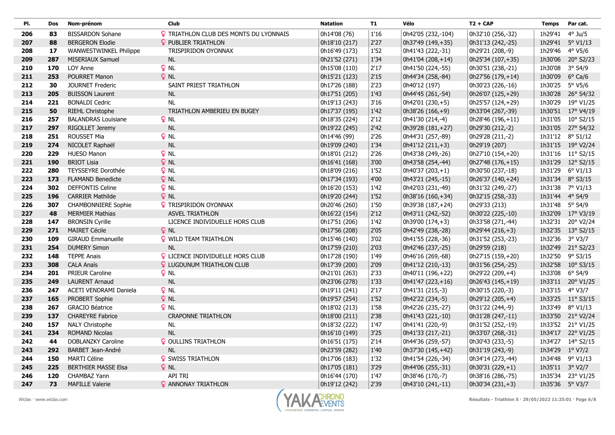| PI. | Dos | Nom-prénom                    | Club                                   | <b>Natation</b> | <b>T1</b> | Vélo                 | $T2 + CAP$         | <b>Temps</b> | Par cat.          |
|-----|-----|-------------------------------|----------------------------------------|-----------------|-----------|----------------------|--------------------|--------------|-------------------|
| 206 | 83  | <b>BISSARDON Sohane</b>       | P TRIATHLON CLUB DES MONTS DU LYONNAIS | 0h14'08 (76)    | $1'16$    | 0h42'05 (232,-104)   | 0h32'10 (256,-32)  | 1h29'41      | $4°$ Ju/5         |
| 207 | 88  | <b>BERGERON Elodie</b>        | <b>Q</b> PUBLIER TRIATHLON             | 0h18'10 (217)   | 2'27      | $ 0h37'49(149,+35) $ | 0h31'13 (242,-25)  |              | 1h29'41 5° V1/13  |
| 208 | 17  | <b>WANWESTWINKEL Philippe</b> | TRISPIRIDON OYONNAX                    | 0h16'49 (173)   | 1'52      | 0h41'43 (222,-31)    | 0h29'21 (208,-9)   |              | 1h29'46 4° V5/6   |
| 209 | 287 | MISERIAUX Samuel              | <b>NL</b>                              | 0h21'52 (271)   | 1'34      | $ 0h41'04(208,+14) $ | 0h25'34 (107,+35)  | 1h30'06      | 20° S2/23         |
| 210 | 170 | LOY Anne                      | $Q$ NL                                 | 0h15'08 (110)   | 2'17      | 0h41'50 (224,-55)    | 0h30'51 (238,-21)  | 1h30'08      | 3° S4/9           |
| 211 | 253 | POURRET Manon                 | $Q$ NL                                 | 0h15'21 (123)   | 2'15      | 0h44'34 (258,-84)    | 0h27'56 (179,+14)  | 1h30'09      | $6^{\circ}$ Ca/6  |
| 212 | 30  | JOURNET Frederic              | SAINT PRIEST TRIATHLON                 | 0h17'26 (188)   | 2'23      | 0h40'12 (197)        | 0h30'23 (226,-16)  |              | 1h30'25 5° V5/6   |
| 213 | 205 | <b>BUISSON Laurent</b>        | $\sf NL$                               | 0h17'51 (205)   | 1'43      | 0h44'45 (261,-54)    | 0h26'07 (125,+29)  |              | 1h30'28 26° S4/32 |
| 214 | 221 | <b>BONALDI Cedric</b>         | NL                                     | 0h19'13 (243)   | 3'16      | 0h42'01 (230,+5)     | 0h25'57 (124,+29)  |              | 1h30'29 19° V1/25 |
| 215 | 50  | <b>RIEHL Christophe</b>       | TRIATHLON AMBERIEU EN BUGEY            | 0h17'37 (195)   | 1'42      | $ 0h38'26(166,+9) $  | 0h33'04 (267,-39)  |              | 1h30'51 17° V4/19 |
| 216 | 257 | <b>BALANDRAS Louisiane</b>    | $Q$ NL                                 | 0h18'35 (224)   | 2'12      | 0h41'30 (214,-4)     | 0h28'46 (196,+11)  |              | 1h31'05 10° S2/15 |
| 217 | 297 | RIGOLLET Jeremy               | NL                                     | 0h19'22 (245)   | 2'42      | 0h39'28 (181,+27)    | 0h29'30 (212,-2)   |              | 1h31'05 27° S4/32 |
| 218 | 251 | <b>ROUSSET Mia</b>            | $P$ NL                                 | 0h14'46 (99)    | 2'26      | 0h44'31 (257,-89)    | 0h29'28 (211,-2)   |              | 1h31'12 8° S1/12  |
| 219 | 274 | NICOLET Raphaël               | NL                                     | 0h19'09 (240)   | 1'34      | $ 0h41'12(211,+3) $  | 0h29'19 (207)      |              | 1h31'15 19° V2/24 |
| 220 | 229 | <b>HUESO Manon</b>            | $Q$ NL                                 | 0h18'01 (212)   | 2'26      | 0h43'38 (249,-26)    | 0h27'10 (154,+20)  |              | 1h31'16 11° S2/15 |
| 221 | 190 | <b>BRIOT Lisia</b>            | $Q$ NL                                 | 0h16'41 (168)   | 3'00      | 0h43'58 (254,-44)    | 0h27'48 (176,+15)  |              | 1h31'29 12° S2/15 |
| 222 | 280 | TEYSSEYRE Dorothée            | $Q$ NL                                 | 0h18'09 (216)   | 1'52      | $ 0h40'37(203,+1) $  | 0h30'50 (237,-18)  |              | 1h31'29 6° V1/13  |
| 223 | 173 | <b>FLAMAND Benedicte</b>      | $Q$ NL                                 | 0h17'34 (193)   | 4'00      | 0h43'21 (245,-15)    | 0h26'37 (140,+24)  |              | 1h31'34 8° S3/15  |
| 224 | 302 | <b>DEFFONTIS Celine</b>       | $Q$ NL                                 | 0h16'20 (153)   | 1'42      | 0h42'03 (231,-49)    | 0h31'32 (249,-27)  |              | 1h31'38 7° V1/13  |
| 225 | 196 | <b>CARRIER Mathilde</b>       | $Q$ NL                                 | 0h19'20 (244)   | 1'52      | $ 0h38'16(160,+34) $ | 0h32'15 (258,-33)  |              | 1h31'44 4° S4/9   |
| 226 | 307 | <b>CHAMBONNIERE Sophie</b>    | <b>?</b> TRISPIRIDON OYONNAX           | 0h20'46 (260)   | 1'50      | 0h39'38 (187,+24)    | 0h29'33 (213)      |              | 1h31'48 5° S4/9   |
| 227 | 48  | <b>MERMIER Mathias</b>        | <b>ASVEL TRIATHLON</b>                 | 0h16'22 (154)   | 2'12      | 0h43'11 (242,-52)    | 0h30'22 (225,-10)  |              | 1h32'09 17° V3/19 |
| 228 | 147 | <b>BRONSIN Cyrille</b>        | LICENCE INDIVIDUELLE HORS CLUB         | 0h17'51 (206)   | 1'42      | $0h39'00(174,+3)$    | 0h33'58 (271,-44)  |              | 1h32'31 20° V2/24 |
| 229 | 271 | <b>MAIRET Cécile</b>          | $Q$ NL                                 | 0h17'56 (208)   | 2'05      | 0h42'49 (238,-28)    | 0h29'44 $(216,+3)$ |              | 1h32'35 13° S2/15 |
| 230 | 109 | <b>GIRAUD Emmanuelle</b>      | <b>Q</b> WILD TEAM TRIATHLON           | 0h15'46 (140)   | 3'02      | 0h41'55 (228,-36)    | 0h31'52 (253,-23)  |              | 1h32'36 3° V3/7   |
| 231 | 254 | <b>DUMERY Simon</b>           | NL                                     | 0h17'59 (210)   | 2'03      | 0h42'46 (237,-25)    | 0h29'59 (218)      |              | 1h32'49 21° S2/23 |
| 232 | 148 | <b>TEPPE Anais</b>            | P LICENCE INDIVIDUELLE HORS CLUB       | 0h17'28 (190)   | 1'49      | 0h46'16 (269,-68)    | 0h27'15 (159,+20)  |              | 1h32'50 9° S3/15  |
| 233 | 308 | <b>CALA Anaïs</b>             | <b>Q</b> LUGDUNUM TRIATHLON CLUB       | 0h17'39 (200)   | 2'09      | 0h41'12 (210,-13)    | 0h31'56 (254,-25)  |              | 1h32'58 10° S3/15 |
| 234 | 201 | <b>PRIEUR Caroline</b>        | $Q$ NL                                 | 0h21'01 (263)   | 2'33      | 0h40'11 (196,+22)    | 0h29'22 (209,+4)   |              | 1h33'08 6° S4/9   |
| 235 | 249 | <b>LAURENT Arnaud</b>         | NL                                     | 0h23'06 (278)   | 1'33      | $ 0h41'47(223,+16) $ | 0h26'43 (145,+19)  |              | 1h33'11 20° V1/25 |
| 236 | 247 | ACETI VENDRAMI Daniela        | $Q$ NL                                 | 0h19'11 (241)   | 2'17      | 0h41'31 (215,-3)     | 0h30'15 (220,-3)   |              | 1h33'15 4° V3/7   |
| 237 | 165 | PROBERT Sophie                | $Q$ NL                                 | 0h19'57 (254)   | 1'52      | 0h42'22 (234,-5)     | 0h29'12 (205,+4)   |              | 1h33'25 11° S3/15 |
| 238 | 267 | <b>GRACIO Béatrice</b>        | o nl                                   | 0h18'02 (213)   | 1'58      | 0h42'26 (235,-27)    | 0h31'22 (244,-9)   |              | 1h33'49 8° V1/13  |
| 239 | 137 | <b>CHAREYRE Fabrice</b>       | <b>CRAPONNE TRIATHLON</b>              | 0h18'00 (211)   | 2'38      | 0h41'43 (221,-10)    | 0h31'28 (247,-11)  |              | 1h33'50 21° V2/24 |
| 240 | 157 | NALY Christophe               | <b>NL</b>                              | 0h18'32 (222)   | 1'47      | 0h41'41 (220,-9)     | 0h31'52 (252,-19)  |              | 1h33'52 21° V1/25 |
| 241 | 234 | <b>ROMAND Nicolas</b>         | <b>NL</b>                              | 0h16'10 (149)   | 3'25      | 0h41'33 (217,-21)    | 0h33'07 (268,-31)  |              | 1h34'17 22° V1/25 |
| 242 | 44  | DOBLANZKY Caroline            | <b>? OULLINS TRIATHLON</b>             | 0h16'51 (175)   | 2'14      | 0h44'36 (259,-57)    | 0h30'43 (233,-5)   |              | 1h34'27 14° S2/15 |
| 243 | 292 | <b>BARBET Jean-André</b>      | <b>NL</b>                              | 0h23'59 (282)   | 1'40      | 0h37'30 (145,+42)    | 0h31'19 (243,-9)   | 1h34'29      | $1^{\circ}$ V7/2  |
| 244 | 150 | MARTI Céline                  | <b>Q</b> SWISS TRIATHLON               | 0h17'06 (183)   | 1'32      | 0h41'54 (226,-34)    | 0h34'14 (273,-44)  |              | 1h34'48 9° V1/13  |
| 245 | 225 | <b>BERTHIER MASSE Elsa</b>    | $Q$ NL                                 | 0h17'05 (181)   | 3'29      | 0h44'06 (255,-31)    | 0h30'31 (229,+1)   |              | 1h35'11 3° V2/7   |
| 246 | 120 | <b>CHAMBAZ Yann</b>           | <b>API TRI</b>                         | 0h16'44 (170)   | 1'47      | 0h38'46 (170,-7)     | 0h38'16 (286,-75)  |              | 1h35'34 23° V1/25 |
| 247 | 73  | <b>MAFILLE Valerie</b>        | <b>2 ANNONAY TRIATHLON</b>             | 0h19'12 (242)   | 2'39      | 0h43'10 (241,-11)    | 0h30'34 (231,+3)   |              | 1h35'36 5° V3/7   |

 $\sim$ 

I

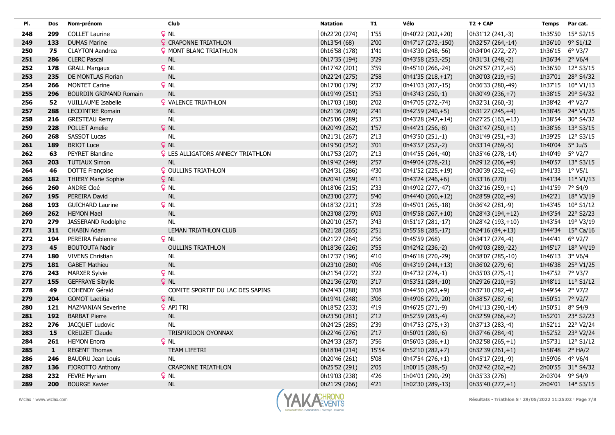| PI. | Dos          | Nom-prénom                    | Club                                     | <b>Natation</b> | <b>T1</b> | Vélo                 | $T2 + CAP$        | <b>Temps</b>    | Par cat.           |
|-----|--------------|-------------------------------|------------------------------------------|-----------------|-----------|----------------------|-------------------|-----------------|--------------------|
| 248 | 299          | <b>COLLET Laurine</b>         | $Q$ NL                                   | 0h22'20 (274)   | 1'55      | 0h40'22 (202,+20)    | 0h31'12 (241,-3)  | 1h35'50         | $15^{\circ}$ S2/15 |
| 249 | 133          | <b>DUMAS Marine</b>           | <b>?</b> CRAPONNE TRIATHLON              | 0h13'54 (68)    | 2'00      | 0h47'17 (273,-150)   | 0h32'57 (264,-14) | 1h36'10         | $9^{\circ}$ S1/12  |
| 250 | 75           | <b>CLAYTON Aandrea</b>        | <b>9 MONT BLANC TRIATHLON</b>            | 0h16'58 (178)   | 1'41      | 0h43'30 (248,-56)    | 0h34'04 (272,-27) | 1h36'15 6° V3/7 |                    |
| 251 | 286          | <b>CLERC Pascal</b>           | <b>NL</b>                                | 0h17'35 (194)   | 3'29      | 0h43'58 (253,-25)    | 0h31'31 (248,-2)  | 1h36'34 2° V6/4 |                    |
| 252 | 178          | <b>GRALL Margaux</b>          | $Q$ NL                                   | 0h17'42 (201)   | 3'59      | 0h45'10 (266,-24)    | 0h29'57 (217,+5)  |                 | 1h36'50 12° S3/15  |
| 253 | 235          | DE MONTLAS Florian            | <b>NL</b>                                | 0h22'24 (275)   | 2'58      | $ 0h41'35(218,+17) $ | 0h30'03 (219,+5)  |                 | 1h37'01 28° S4/32  |
| 254 | 266          | <b>MONTET Carine</b>          | $Q$ NL                                   | 0h17'00 (179)   | 2'37      | 0h41'03 (207,-15)    | 0h36'33 (280,-49) |                 | 1h37'15 10° V1/13  |
| 255 | 296          | <b>BOURDIN GRIMAND Romain</b> | <b>NL</b>                                | 0h19'49 (251)   | 3'53      | 0h43'43 (250,-1)     | 0h30'49 (236,+7)  |                 | 1h38'15 29° S4/32  |
| 256 | 52           | <b>VUILLAUME Isabelle</b>     | <b>Q</b> VALENCE TRIATHLON               | 0h17'03 (180)   | 2'02      | 0h47'05 (272,-74)    | 0h32'31 (260,-3)  | 1h38'42 4° V2/7 |                    |
| 257 | 288          | <b>LECOINTRE Romain</b>       | NL                                       | 0h21'36 (269)   | 2'41      | $ 0h42'59(240,+5) $  | 0h31'27 (245,+4)  |                 | 1h38'45 24° V1/25  |
| 258 | 216          | <b>GRESTEAU Remy</b>          | <b>NL</b>                                | 0h25'06 (289)   | 2'53      | 0h43'28 (247,+14)    | 0h27'25 (163,+13) |                 | 1h38'54 30° S4/32  |
| 259 | 228          | <b>POLLET Amelie</b>          | $Q$ NL                                   | 0h20'49 (262)   | 1'57      | 0h44'21 (256,-8)     | $0h31'47(250,+1)$ |                 | 1h38'56 13° S3/15  |
| 260 | 268          | <b>SASSOT Lucas</b>           | <b>NL</b>                                | 0h21'31 (267)   | 2'13      | 0h43'50 (251,-1)     | 0h31'49 (251,+3)  |                 | 1h39'25 12° S3/15  |
| 261 | 189          | <b>BRIOT Luce</b>             | $Q$ NL                                   | 0h19'50 (252)   | 3'01      | 0h43'57 (252,-2)     | 0h33'14 (269,-5)  | 1h40'04 5° Ju/5 |                    |
| 262 | 63           | PEYRET Blandine               | <b>Q</b> LES ALLIGATORS ANNECY TRIATHLON | 0h17'53 (207)   | 2'13      | 0h44'55 (264,-40)    | 0h35'46 (278,-14) | 1h40'49 5° V2/7 |                    |
| 263 | 203          | <b>TUTIAUX Simon</b>          | <b>NL</b>                                | 0h19'42 (249)   | 2'57      | 0h49'04 (278,-21)    | 0h29'12 (206,+9)  |                 | 1h40'57 13° S3/15  |
| 264 | 46           | <b>DOTTE Françoise</b>        | <b>? OULLINS TRIATHLON</b>               | 0h24'31 (286)   | 4'30      | 0h41'52 (225,+19)    | 0h30'39 (232,+6)  | 1h41'33 1° V5/1 |                    |
| 265 | 182          | <b>THIERY Marie Sophie</b>    | $Q$ NL                                   | 0h20'41 (259)   | 4'11      | $ 0h43'24(246,+6) $  | 0h33'16 (270)     |                 | 1h41'34 11° V1/13  |
| 266 | 260          | ANDRE Cloé                    | $Q$ NL                                   | 0h18'06 (215)   | 2'33      | 0h49'02 (277,-47)    | 0h32'16 (259,+1)  | 1h41'59 7° S4/9 |                    |
| 267 | 195          | PEREIRA David                 | <b>NL</b>                                | 0h23'00 (277)   | 5'40      | $ 0h44'40(260,+12) $ | 0h28'59 (202,+9)  |                 | 1h42'21 18° V3/19  |
| 268 | 193          | <b>GUICHARD Laurine</b>       | $Q$ NL                                   | 0h18'32 (221)   | 3'28      | 0h45'01 (265,-18)    | 0h36'42 (281,-9)  |                 | 1h43'45 10° S1/12  |
| 269 | 262          | <b>HEMON Mael</b>             | NL                                       | 0h23'08 (279)   | 6'03      | $ 0h45'58(267,+10) $ | 0h28'43 (194,+12) |                 | 1h43'54 22° S2/23  |
| 270 | 279          | JASSERAND Rodolphe            | <b>NL</b>                                | 0h20'10 (257)   | 3'43      | 0h51'17 (281,-17)    | 0h28'42 (193,+10) |                 | 1h43'54 19° V3/19  |
| 271 | 311          | <b>CHABIN Adam</b>            | LEMAN TRIATHLON CLUB                     | 0h21'28 (265)   | 2'51      | 0h55'58 (285,-17)    | $0h24'16(84,+13)$ |                 | 1h44'34 15° Ca/16  |
| 272 | 194          | PEREIRA Fabienne              | $Q$ NL                                   | 0h21'27 (264)   | 2'56      | 0h45'59 (268)        | 0h34'17 (274,-4)  | 1h44'41 6° V2/7 |                    |
| 273 | 45           | <b>BOUTOUTA Nadir</b>         | <b>OULLINS TRIATHLON</b>                 | 0h18'36 (226)   | 3'55      | 0h42'42 (236,-2)     | 0h40'03 (289,-22) |                 | 1h45'17 18° V4/19  |
| 274 | 180          | <b>VIVENS Christian</b>       | <b>NL</b>                                | 0h17'37 (196)   | 4'10      | 0h46'18 (270,-29)    | 0h38'07 (285,-10) | 1h46'13 3° V6/4 |                    |
| 275 | 181          | <b>GABET Mathieu</b>          | NL                                       | 0h23'10 (280)   | 4'06      | 0h43'19 (244,+13)    | 0h36'02 (279,-6)  |                 | 1h46'38 25° V1/25  |
| 276 | 243          | <b>MARXER Sylvie</b>          | $Q$ NL                                   | 0h21'54 (272)   | 3'22      | 0h47'32 (274,-1)     | 0h35'03 (275,-1)  | 1h47'52 7° V3/7 |                    |
| 277 | 155          | <b>GEFFRAYE Sibylle</b>       | $Q$ NL                                   | 0h21'36 (270)   | $3'17$    | 0h53'51 (284,-10)    | 0h29'26 (210,+5)  |                 | 1h48'11 11° S1/12  |
| 278 | 49           | <b>COHENDY Gérald</b>         | COMITE SPORTIF DU LAC DES SAPINS         | 0h24'43 (288)   | 3'08      | 0h44'50 (262,+9)     | 0h37'10 (282,-4)  | 1h49'54 2° V7/2 |                    |
| 279 | 204          | <b>GOMOT Laetitia</b>         | $Q$ NL                                   | 0h19'41 (248)   | 3'06      | 0h49'06 (279,-20)    | 0h38'57 (287,-6)  | 1h50'51 7° V2/7 |                    |
| 280 | 121          | <b>MAZMANIAN Severine</b>     | <b>Q</b> API TRI                         | 0h18'52 (233)   | 4'19      | 0h46'25 (271,-9)     | 0h41'13 (290,-14) | 1h50'51         | 8° S4/9            |
| 281 | 192          | <b>BARBAT Pierre</b>          | $\sf NL$                                 | 0h23'50 (281)   | $2'12$    | 0h52'59 (283,-4)     | 0h32'59 (266,+2)  |                 | 1h52'01 23° S2/23  |
| 282 | 276          | JACQUET Ludovic               | <b>NL</b>                                | 0h24'25 (285)   | 2'39      | 0h47'53 (275,+3)     | 0h37'13 (283,-4)  |                 | 1h52'11 22° V2/24  |
| 283 | 15           | <b>CREUZET Claude</b>         | <b>TRISPIRIDON OYONNAX</b>               | 0h22'46 (276)   | 2'17      | 0h50'01 (280,-6)     | 0h37'46 (284,-4)  |                 | 1h52'52 23° V2/24  |
| 284 | 261          | <b>HEMON Enora</b>            | <b>Q</b> NL                              | 0h24'33 (287)   | 3'56      | 0h56'03 (286,+1)     | 0h32'58 (265,+1)  |                 | 1h57'31 12° S1/12  |
| 285 | $\mathbf{1}$ | <b>REGENT Thomas</b>          | <b>TEAM LIFETRI</b>                      | 0h18'04 (214)   | 15'54     | 0h52'10 (282,+7)     | 0h32'39 (261,+1)  | 1h58'48         | $2^{\circ}$ HA/2   |
| 286 | 246          | <b>BAUDRU Jean Louis</b>      | <b>NL</b>                                | 0h20'46 (261)   | 5'08      | $0h47'54(276,+1)$    | 0h45'17 (291,-9)  | 1h59'06 4° V6/4 |                    |
| 287 | 136          | FIOROTTO Anthony              | <b>CRAPONNE TRIATHLON</b>                | 0h25'52 (291)   | 2'05      | 1h00'15 (288,-5)     | 0h32'42 (262, +2) |                 | 2h00'55 31° S4/32  |
| 288 | 232          | <b>FEVRE Myriam</b>           | P <sub>NL</sub>                          | 0h19'03 (238)   | 4'26      | 1h04'01 (290,-29)    | 0h35'33 (276)     | 2h03'04 9° S4/9 |                    |
| 289 | 200          | <b>BOURGE Xavier</b>          | <b>NL</b>                                | 0h21'29 (266)   | 4'21      | 1h02'30 (289,-13)    | $0h35'40(277,+1)$ |                 | 2h04'01 14° S3/15  |

 $\sim$ 

л